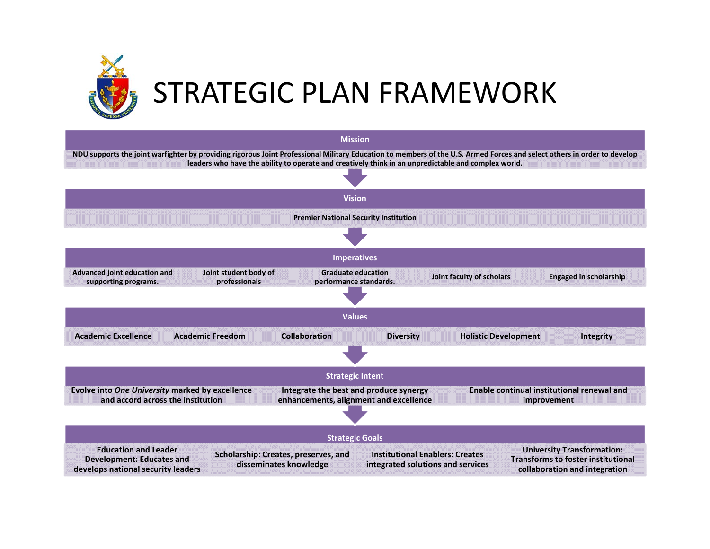